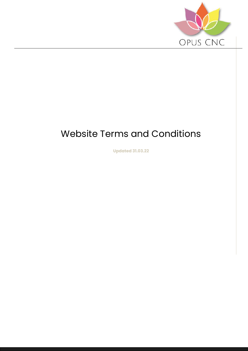

# Website Terms and Conditions

**Updated 31.03.22**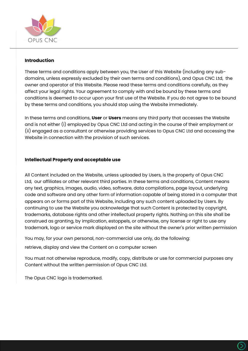

## **Introduction**

These terms and conditions apply between you, the User of this Website (including any subdomains, unless expressly excluded by their own terms and conditions), and Opus CNC Ltd, the owner and operator of this Website. Please read these terms and conditions carefully, as they affect your legal rights. Your agreement to comply with and be bound by these terms and conditions is deemed to occur upon your first use of the Website. If you do not agree to be bound by these terms and conditions, you should stop using the Website immediately.

In these terms and conditions, **User** or **Users** means any third party that accesses the Website and is not either (i) employed by Opus CNC Ltd and acting in the course of their employment or (ii) engaged as a consultant or otherwise providing services to Opus CNC Ltd and accessing the Website in connection with the provision of such services.

#### **Intellectual Property and acceptable use**

All Content included on the Website, unless uploaded by Users, is the property of Opus CNC Ltd, our affiliates or other relevant third parties. In these terms and conditions, Content means any text, graphics, images, audio, video, software, data compilations, page layout, underlying code and software and any other form of information capable of being stored in a computer that appears on or forms part of this Website, including any such content uploaded by Users. By continuing to use the Website you acknowledge that such Content is protected by copyright, trademarks, database rights and other intellectual property rights. Nothing on this site shall be construed as granting, by implication, estoppels, or otherwise, any license or right to use any trademark, logo or service mark displayed on the site without the owner's prior written permission

You may, for your own personal, non-commercial use only, do the following:

retrieve, display and view the Content on a computer screen

You must not otherwise reproduce, modify, copy, distribute or use for commercial purposes any Content without the written permission of Opus CNC Ltd.

The Opus CNC logo is trademarked.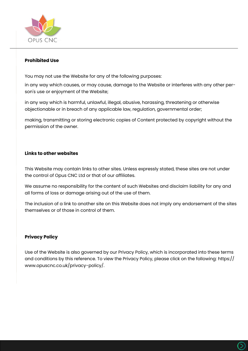

#### **Prohibited Use**

You may not use the Website for any of the following purposes:

in any way which causes, or may cause, damage to the Website or interferes with any other person's use or enjoyment of the Website;

in any way which is harmful, unlawful, illegal, abusive, harassing, threatening or otherwise objectionable or in breach of any applicable law, regulation, governmental order;

making, transmitting or storing electronic copies of Content protected by copyright without the permission of the owner.

#### **Links to other websites**

This Website may contain links to other sites. Unless expressly stated, these sites are not under the control of Opus CNC Ltd or that of our affiliates.

We assume no responsibility for the content of such Websites and disclaim liability for any and all forms of loss or damage arising out of the use of them.

The inclusion of a link to another site on this Website does not imply any endorsement of the sites themselves or of those in control of them.

## **Privacy Policy**

Use of the Website is also governed by our Privacy Policy, which is incorporated into these terms and conditions by this reference. To view the Privacy Policy, please click on the following: https:// www.opuscnc.co.uk/privacy-policy/.

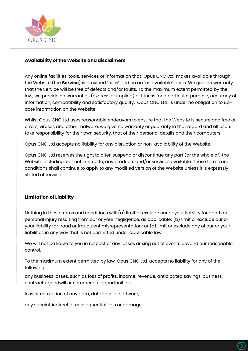

## **Availability of the Website and disclaimers**

Any online facilities, tools, services or information that Opus CNC Ltd makes available through the Website (the **Service**) is provided "as is" and on an "as available" basis. We give no warranty that the Service will be free of defects and/or faults. To the maximum extent permitted by the law, we provide no warranties (express or implied) of fitness for a particular purpose, accuracy of information, compatibility and satisfactory quality. Opus CNC Ltd is under no obligation to update information on the Website.

Whilst Opus CNC Ltd uses reasonable endeavors to ensure that the Website is secure and free of errors, viruses and other malware, we give no warranty or guaranty in that regard and all Users take responsibility for their own security, that of their personal details and their computers.

Opus CNC Ltd accepts no liability for any disruption or non-availability of the Website.

Opus CNC Ltd reserves the right to alter, suspend or discontinue any part (or the whole of) the Website including, but not limited to, any products and/or services available. These terms and conditions shall continue to apply to any modified version of the Website unless it is expressly stated otherwise.

# **Limitation of Liability**

Nothing in these terms and conditions will: (a) limit or exclude our or your liability for death or personal injury resulting from our or your negligence, as applicable; (b) limit or exclude our or your liability for fraud or fraudulent misrepresentation; or (c) limit or exclude any of our or your liabilities in any way that is not permitted under applicable law.

We will not be liable to you in respect of any losses arising out of events beyond our reasonable control.

To the maximum extent permitted by law, Opus CNC Ltd accepts no liability for any of the following:

any business losses, such as loss of profits, income, revenue, anticipated savings, business, contracts, goodwill or commercial opportunities;

loss or corruption of any data, database or software;

any special, indirect or consequential loss or damage.